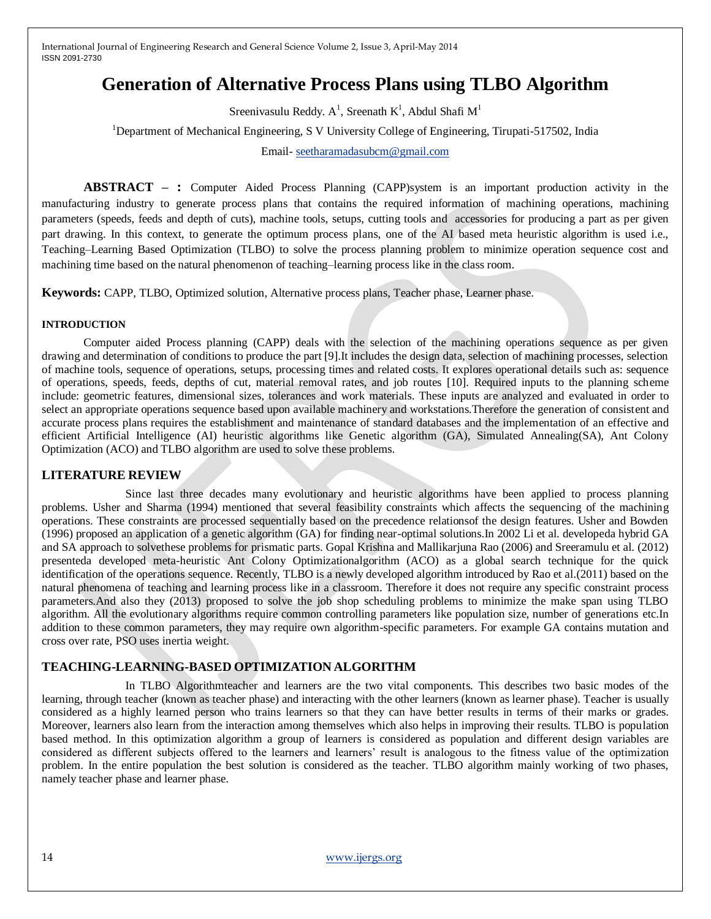# **Generation of Alternative Process Plans using TLBO Algorithm**

Sreenivasulu Reddy.  $A^1$ , Sreenath K<sup>1</sup>, Abdul Shafi M<sup>1</sup>

<sup>1</sup>Department of Mechanical Engineering, S V University College of Engineering, Tirupati-517502, India

Email- [seetharamadasubcm@gmail.com](mailto:seetharamadasubcm@gmail.com)

**ABSTRACT – :** Computer Aided Process Planning (CAPP)system is an important production activity in the manufacturing industry to generate process plans that contains the required information of machining operations, machining parameters (speeds, feeds and depth of cuts), machine tools, setups, cutting tools and accessories for producing a part as per given part drawing. In this context, to generate the optimum process plans, one of the AI based meta heuristic algorithm is used i.e., Teaching–Learning Based Optimization (TLBO) to solve the process planning problem to minimize operation sequence cost and machining time based on the natural phenomenon of teaching–learning process like in the class room.

**Keywords:** CAPP, TLBO, Optimized solution, Alternative process plans, Teacher phase, Learner phase.

### **INTRODUCTION**

Computer aided Process planning (CAPP) deals with the selection of the machining operations sequence as per given drawing and determination of conditions to produce the part [9].It includes the design data, selection of machining processes, selection of machine tools, sequence of operations, setups, processing times and related costs. It explores operational details such as: sequence of operations, speeds, feeds, depths of cut, material removal rates, and job routes [10]. Required inputs to the planning scheme include: geometric features, dimensional sizes, tolerances and work materials. These inputs are analyzed and evaluated in order to select an appropriate operations sequence based upon available machinery and workstations.Therefore the generation of consistent and accurate process plans requires the establishment and maintenance of standard databases and the implementation of an effective and efficient Artificial Intelligence (AI) heuristic algorithms like Genetic algorithm (GA), Simulated Annealing(SA), Ant Colony Optimization (ACO) and TLBO algorithm are used to solve these problems.

### **LITERATURE REVIEW**

Since last three decades many evolutionary and heuristic algorithms have been applied to process planning problems. Usher and Sharma (1994) mentioned that several feasibility constraints which affects the sequencing of the machining operations. These constraints are processed sequentially based on the precedence relationsof the design features. Usher and Bowden (1996) proposed an application of a genetic algorithm (GA) for finding near-optimal solutions.In 2002 Li et al. developeda hybrid GA and SA approach to solvethese problems for prismatic parts. Gopal Krishna and Mallikarjuna Rao (2006) and Sreeramulu et al. (2012) presenteda developed meta-heuristic Ant Colony Optimizationalgorithm (ACO) as a global search technique for the quick identification of the operations sequence. Recently, TLBO is a newly developed algorithm introduced by Rao et al.(2011) based on the natural phenomena of teaching and learning process like in a classroom. Therefore it does not require any specific constraint process parameters.And also they (2013) proposed to solve the job shop scheduling problems to minimize the make span using TLBO algorithm. All the evolutionary algorithms require common controlling parameters like population size, number of generations etc.In addition to these common parameters, they may require own algorithm-specific parameters. For example GA contains mutation and cross over rate, PSO uses inertia weight.

# **TEACHING-LEARNING-BASED OPTIMIZATION ALGORITHM**

In TLBO Algorithmteacher and learners are the two vital components. This describes two basic modes of the learning, through teacher (known as teacher phase) and interacting with the other learners (known as learner phase). Teacher is usually considered as a highly learned person who trains learners so that they can have better results in terms of their marks or grades. Moreover, learners also learn from the interaction among themselves which also helps in improving their results. TLBO is population based method. In this optimization algorithm a group of learners is considered as population and different design variables are considered as different subjects offered to the learners and learners' result is analogous to the fitness value of the optimization problem. In the entire population the best solution is considered as the teacher. TLBO algorithm mainly working of two phases, namely teacher phase and learner phase.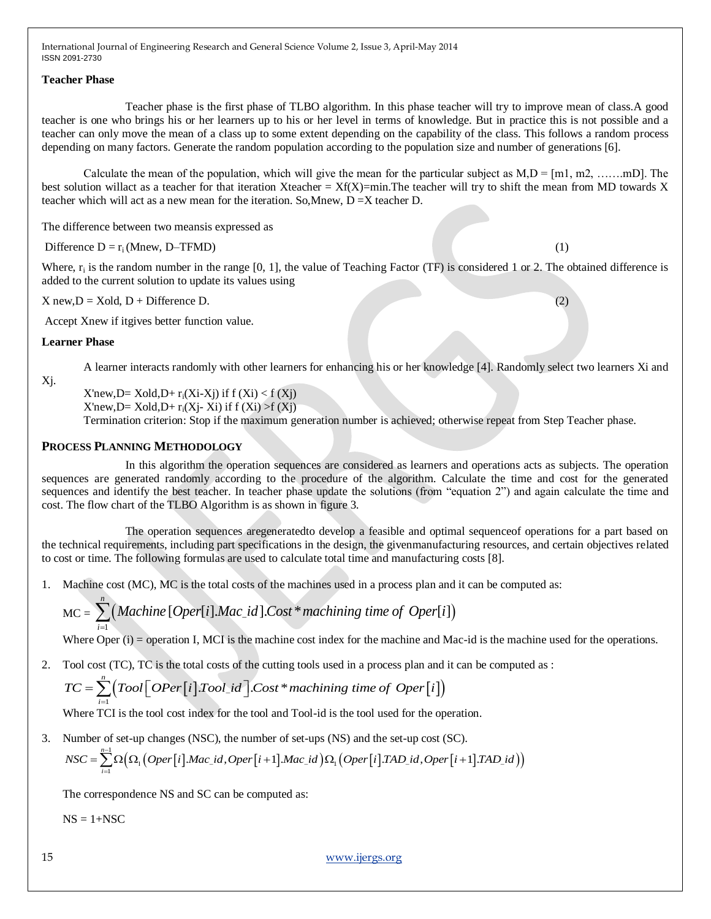#### **Teacher Phase**

Teacher phase is the first phase of TLBO algorithm. In this phase teacher will try to improve mean of class.A good teacher is one who brings his or her learners up to his or her level in terms of knowledge. But in practice this is not possible and a teacher can only move the mean of a class up to some extent depending on the capability of the class. This follows a random process depending on many factors. Generate the random population according to the population size and number of generations [6].

Calculate the mean of the population, which will give the mean for the particular subject as  $M, D = [m1, m2, \dots, mD]$ . The best solution willact as a teacher for that iteration Xteacher =  $Xf(X)$ =min.The teacher will try to shift the mean from MD towards X teacher which will act as a new mean for the iteration. So,Mnew, D =X teacher D.

The difference between two meansis expressed as

Difference  $D = r_i (Mnew, D-TFMD)$  (1)

Where,  $r_i$  is the random number in the range [0, 1], the value of Teaching Factor (TF) is considered 1 or 2. The obtained difference is added to the current solution to update its values using

 $X new, D = X old, D + Difference D.$  (2)

Accept Xnew if itgives better function value.

#### **Learner Phase**

A learner interacts randomly with other learners for enhancing his or her knowledge [4]. Randomly select two learners Xi and

Xj.

 $X'$ new,D=  $X$ old,D+  $r_i(X_i-X_j)$  if  $f(X_i) < f(X_j)$  $X'$ new,D=  $X$ old,D+  $r_i(X_i - X_i)$  if  $f(X_i) > f(X_i)$ 

Termination criterion: Stop if the maximum generation number is achieved; otherwise repeat from Step Teacher phase.

## **PROCESS PLANNING METHODOLOGY**

In this algorithm the operation sequences are considered as learners and operations acts as subjects. The operation sequences are generated randomly according to the procedure of the algorithm. Calculate the time and cost for the generated sequences and identify the best teacher. In teacher phase update the solutions (from "equation 2") and again calculate the time and cost. The flow chart of the TLBO Algorithm is as shown in figure 3.

The operation sequences aregeneratedto develop a feasible and optimal sequenceof operations for a part based on the technical requirements, including part specifications in the design, the givenmanufacturing resources, and certain objectives related to cost or time. The following formulas are used to calculate total time and manufacturing costs [8].

1. Machine cost (MC), MC is the total costs of the machines used in a process plan and it can be computed as:

Machine cost (MC), MC is the total costs of the machines used in a process plan and MC = 
$$
\sum_{i=1}^{n} (Machine [Oper[i].Mac_id].Cost * machinery time of Oper[i])
$$

Where Oper (i) = operation I, MCI is the machine cost index for the machine and Mac-id is the machine used for the operations.

2. Tool cost (TC), TC is the total costs of the cutting tools used in a process plan and it can be computed as :

where Oper (i) = operation I, MCT is the machine cost index for the machine and N  
Pool cost (TC), TC is the total costs of the cutting tools used in a process plan and i  

$$
TC = \sum_{i=1}^{n} (Tool[Oper[i].Tool_id].Cost * machinery time of Oper[i])
$$

Where TCI is the tool cost index for the tool and Tool-id is the tool used for the operation.

3. Number of set-up changes (NSC), the number of set-ups (NS) and the set-up cost (SC).

Where TCI is the tool cost index for the tool and Tool-id is the tool used for the operation.  
Number of set-up changes (NSC), the number of set-ups (NS) and the set-up cost (SC).  

$$
NSC = \sum_{i=1}^{n-1} \Omega\Big(\Omega_1\Big(Oper[i].Mac_id, Oper[i+1].Mac_id\Big) \Omega_1\Big(Oper[i].TAD_id, Oper[i+1].TAD_id\Big)\Big)
$$

The correspondence NS and SC can be computed as:

 $NS = 1 + NSC$ 

15 [www.ijergs.org](http://www.ijergs.org/)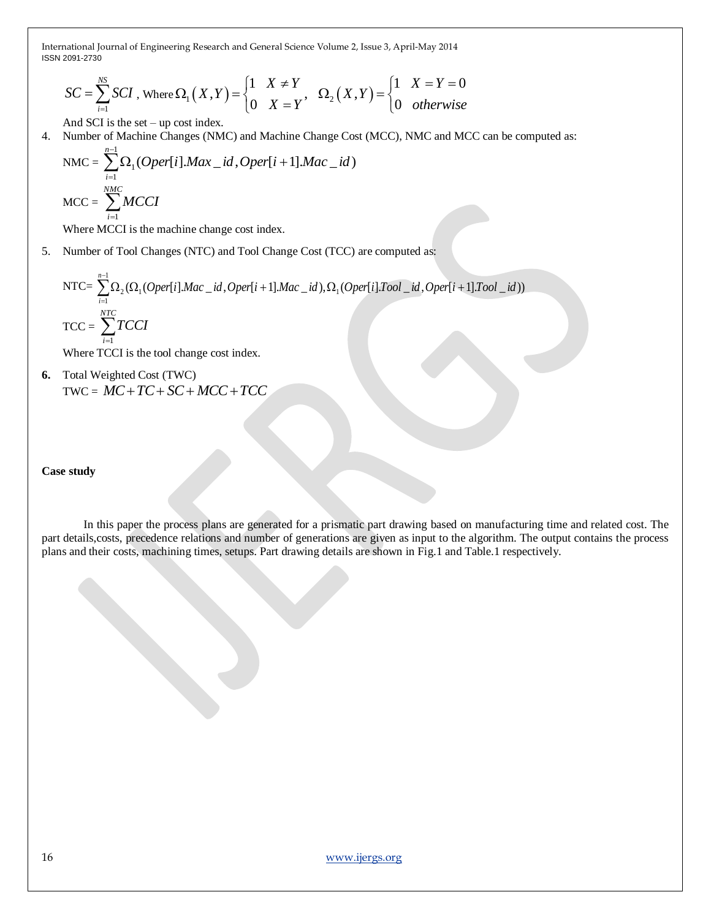ISSN 2091-2730

International Journal of Engineering Research and General Science Volume 2, Issue 3, April-May 2014  
\nISSN 2091-2730  
\n
$$
SC = \sum_{i=1}^{NS} SCI, \text{ Where }\Omega_1(X,Y) = \begin{cases} 1 & X \neq Y \\ 0 & X = Y \end{cases}, \quad \Omega_2(X,Y) = \begin{cases} 1 & X = Y = 0 \\ 0 & otherwise \end{cases}
$$

And SCI is the set – up cost index.

4. Number of Machine Changes (NMC) and Machine Change Cost (MCC), NMC and MCC can be computed as:

$$
NMC = \sum_{i=1}^{n-1} \Omega_i (Oper[i].Max\_id, Oper[i+1].Mac\_id)
$$

$$
MCC = \sum_{i=1}^{NMC} MCCI
$$

Where MCCI is the machine change cost index.

5. Number of Tool Changes (NTC) and Tool Change Cost (TCC) are computed as:

$$
NTC = \sum_{i=1}^{n-1} \Omega_2(\Omega_1(Oper[i].Mac\_id, Oper[i+1].Mac\_id), \Omega_1(Oper[i]. Tool\_id, Oper[i+1]. Tool\_id))
$$

$$
TCC = \sum_{i=1}^{NTC} TCCI
$$

Where TCCI is the tool change cost index.

**6.** Total Weighted Cost (TWC)  $TWC = MC + TC + SC + MCC + TCC$ 

#### **Case study**

In this paper the process plans are generated for a prismatic part drawing based on manufacturing time and related cost. The part details,costs, precedence relations and number of generations are given as input to the algorithm. The output contains the process plans and their costs, machining times, setups. Part drawing details are shown in Fig.1 and Table.1 respectively.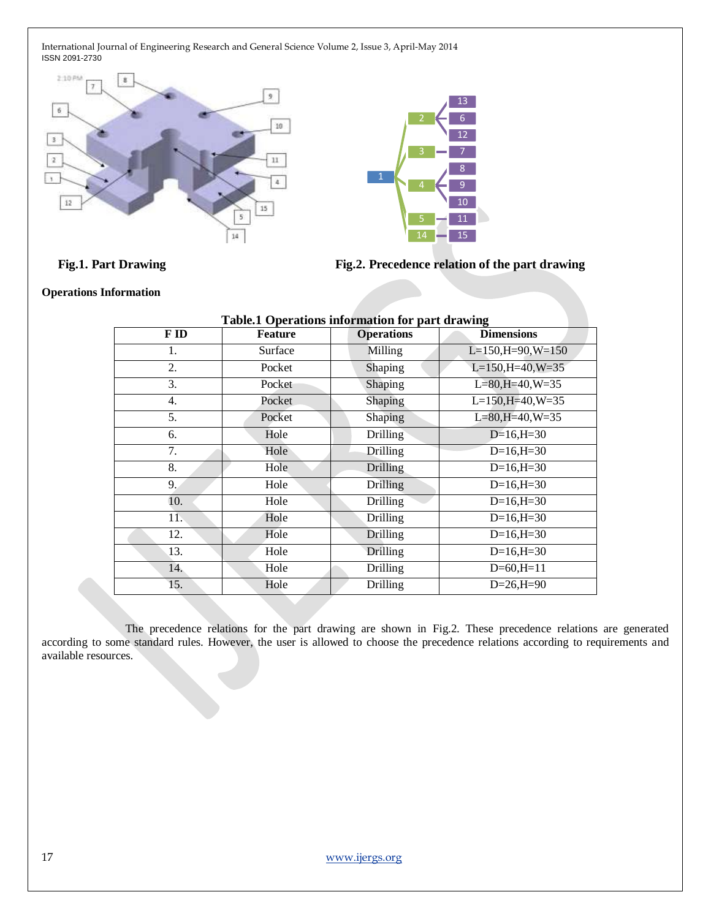



Fig.1. Part Drawing Fig.2. Precedence relation of the part drawing

#### **Operations Information**

| <b>Table.1 Operations information for part drawing</b> |                |                   |                      |  |  |  |  |  |  |
|--------------------------------------------------------|----------------|-------------------|----------------------|--|--|--|--|--|--|
| F ID                                                   | <b>Feature</b> | <b>Operations</b> | <b>Dimensions</b>    |  |  |  |  |  |  |
| 1.                                                     | Surface        | Milling           | $L=150, H=90, W=150$ |  |  |  |  |  |  |
| 2.                                                     | Pocket         | Shaping           | $L=150, H=40, W=35$  |  |  |  |  |  |  |
| 3.                                                     | Pocket         | Shaping           | $L=80, H=40, W=35$   |  |  |  |  |  |  |
| 4.                                                     | Pocket         | Shaping           | $L=150, H=40, W=35$  |  |  |  |  |  |  |
| 5.                                                     | Pocket         | Shaping           | $L=80, H=40, W=35$   |  |  |  |  |  |  |
| 6.                                                     | Hole           | <b>Drilling</b>   | $D=16, H=30$         |  |  |  |  |  |  |
| 7.                                                     | Hole           | Drilling          | $D=16, H=30$         |  |  |  |  |  |  |
| 8.                                                     | Hole           | Drilling          | $D=16, H=30$         |  |  |  |  |  |  |
| 9.                                                     | Hole           | Drilling          | $D=16, H=30$         |  |  |  |  |  |  |
| 10.                                                    | Hole           | <b>Drilling</b>   | $D=16, H=30$         |  |  |  |  |  |  |
| 11.                                                    | Hole           | <b>Drilling</b>   | $D=16, H=30$         |  |  |  |  |  |  |
| 12.                                                    | Hole           | Drilling          | $D=16, H=30$         |  |  |  |  |  |  |
| 13.                                                    | Hole           | Drilling          | $D=16, H=30$         |  |  |  |  |  |  |
| 14.                                                    | Hole           | Drilling          | $D=60, H=11$         |  |  |  |  |  |  |
| 15.                                                    | Hole           | Drilling          | $D=26, H=90$         |  |  |  |  |  |  |

The precedence relations for the part drawing are shown in Fig.2. These precedence relations are generated according to some standard rules. However, the user is allowed to choose the precedence relations according to requirements and available resources.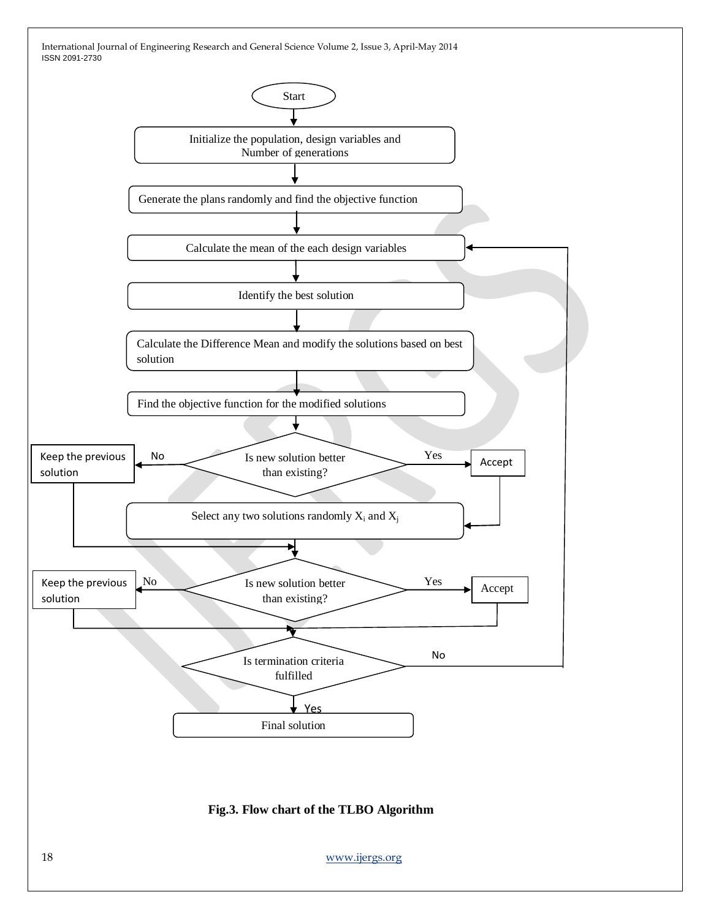

18 [www.ijergs.org](http://www.ijergs.org/)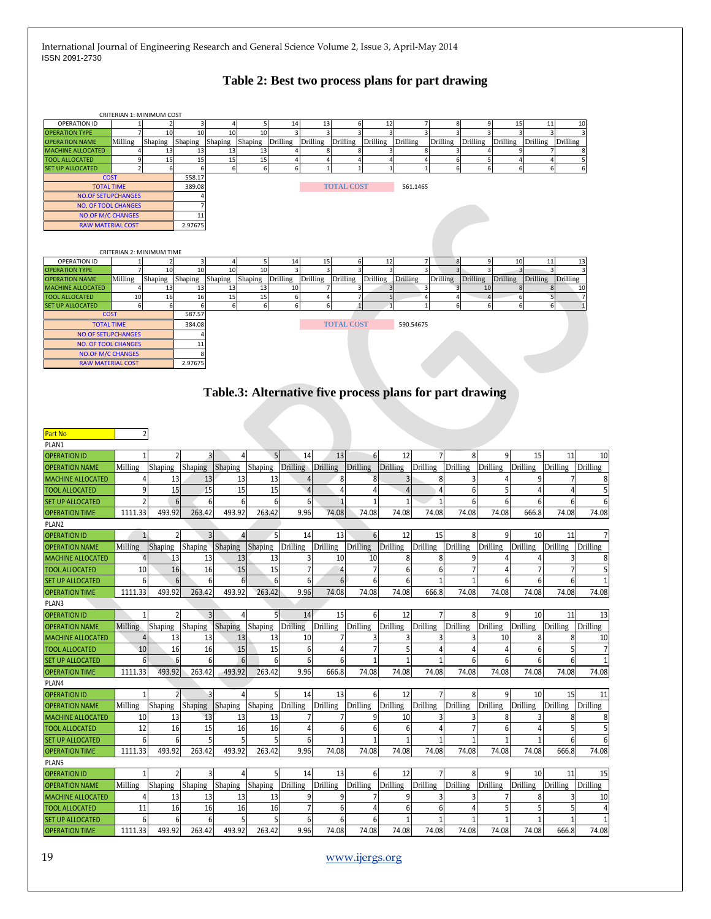# **Table 2: Best two process plans for part drawing**

|                                                   |         | CRITERIAN 1: MINIMUM COST |                |                                                          |               |                           |                 |                   |             |                       |                                  |                       |          |                 |                       |                                     |                                         |
|---------------------------------------------------|---------|---------------------------|----------------|----------------------------------------------------------|---------------|---------------------------|-----------------|-------------------|-------------|-----------------------|----------------------------------|-----------------------|----------|-----------------|-----------------------|-------------------------------------|-----------------------------------------|
| <b>OPERATION ID</b>                               |         | $\overline{2}$            | 3              | 4                                                        | 5             | 14                        | 13              |                   |             | 12                    |                                  |                       |          | 15              |                       | 11                                  | 10                                      |
| <b>OPERATION TYPE</b>                             |         | 10                        | 10             | 10                                                       | 10            |                           |                 |                   |             |                       |                                  |                       |          |                 |                       |                                     |                                         |
| <b>OPERATION NAME</b><br><b>MACHINE ALLOCATED</b> | Milling | Shaping<br>13             | Shaping<br>13  | Shaping<br>13                                            | Shaping<br>13 | Drilling                  | Drilling        | Drilling          | Drilling    | Drilling              | Drilling<br>8                    | Drilling              |          | Drilling        | Drilling              | Drilling                            |                                         |
| <b>TOOL ALLOCATED</b>                             |         | 15                        | 15             | 15                                                       | 15            |                           |                 |                   |             | 4                     | 4                                |                       |          |                 |                       |                                     |                                         |
| <b>SET UP ALLOCATED</b>                           |         | $6 \overline{}$           | 6              | 6                                                        | 6             | 6                         |                 |                   |             | $\mathbf 1$           | $\mathbf{1}$                     |                       | 6        | 6               |                       | 6                                   |                                         |
| COST                                              |         |                           | 558.17         |                                                          |               |                           |                 |                   |             |                       |                                  |                       |          |                 |                       |                                     |                                         |
| <b>TOTAL TIME</b>                                 |         |                           | 389.08         |                                                          |               |                           |                 | <b>TOTAL COST</b> |             |                       | 561.1465                         |                       |          |                 |                       |                                     |                                         |
| <b>NO.OF SETUPCHANGES</b>                         |         |                           |                |                                                          |               |                           |                 |                   |             |                       |                                  |                       |          |                 |                       |                                     |                                         |
| <b>NO. OF TOOL CHANGES</b>                        |         |                           |                |                                                          |               |                           |                 |                   |             |                       |                                  |                       |          |                 |                       |                                     |                                         |
| <b>NO.OF M/C CHANGES</b>                          |         |                           | 11             |                                                          |               |                           |                 |                   |             |                       |                                  |                       |          |                 |                       |                                     |                                         |
| <b>RAW MATERIAL COST</b>                          |         |                           | 2.97675        |                                                          |               |                           |                 |                   |             |                       |                                  |                       |          |                 |                       |                                     |                                         |
|                                                   |         |                           |                |                                                          |               |                           |                 |                   |             |                       |                                  |                       |          |                 |                       |                                     |                                         |
|                                                   |         | CRITERIAN 2: MINIMUM TIME |                |                                                          |               |                           |                 |                   |             |                       |                                  |                       |          |                 |                       |                                     |                                         |
| <b>OPERATION ID</b>                               |         |                           | 3              |                                                          |               | 14                        | 15              |                   |             | 12                    |                                  |                       |          | 10              |                       | 11                                  | 13                                      |
| <b>OPERATION TYPE</b>                             |         | 10                        | 10             | 10                                                       | 10            |                           |                 |                   |             |                       |                                  |                       |          |                 |                       |                                     |                                         |
| <b>OPERATION NAME</b>                             | Milling | Shaping                   | Shaping        | Shaping                                                  | Shaping       | Drilling                  | Drilling        | Drilling          | Drilling    | Drilling              | Drilling                         | Drilling              |          | <b>Drilling</b> | Drilling              | Drilling                            |                                         |
| <b>MACHINE ALLOCATED</b>                          | Δ       | 13                        | 13             | 13                                                       | 13            | 10                        |                 |                   |             | 3                     | 3                                | Э                     | 10       | 8               |                       |                                     | 10                                      |
| <b>TOOL ALLOCATED</b><br><b>SET UP ALLOCATED</b>  | 10      | 16<br>6                   | 16             | 15<br>6                                                  | 15<br>6       | 6                         | 4               |                   |             | 5                     | $\overline{4}$<br>$\overline{1}$ | $\Delta$              |          | 6<br>6          |                       | 5<br>6                              |                                         |
| <b>COST</b>                                       | 6       |                           | 587.57         |                                                          |               |                           |                 |                   |             |                       |                                  |                       |          |                 |                       |                                     |                                         |
| <b>TOTAL TIME</b>                                 |         |                           | 384.08         |                                                          |               |                           |                 | <b>TOTAL COST</b> |             |                       | 590.54675                        |                       |          |                 |                       |                                     |                                         |
| <b>NO.OF SETUPCHANGES</b>                         |         |                           |                |                                                          |               |                           |                 |                   |             |                       |                                  |                       |          |                 |                       |                                     |                                         |
| <b>NO. OF TOOL CHANGES</b>                        |         |                           | 11             |                                                          |               |                           |                 |                   |             |                       |                                  |                       |          |                 |                       |                                     |                                         |
| <b>NO.OF M/C CHANGES</b>                          |         |                           |                |                                                          |               |                           |                 |                   |             |                       |                                  |                       |          |                 |                       |                                     |                                         |
| <b>RAW MATERIAL COST</b>                          |         |                           | 2.97675        |                                                          |               |                           |                 |                   |             |                       |                                  |                       |          |                 |                       |                                     |                                         |
|                                                   |         |                           |                |                                                          |               |                           |                 |                   |             |                       |                                  |                       |          |                 |                       |                                     |                                         |
|                                                   |         |                           |                |                                                          |               |                           |                 |                   |             |                       |                                  |                       |          |                 |                       |                                     |                                         |
|                                                   |         |                           |                | Table.3: Alternative five process plans for part drawing |               |                           |                 |                   |             |                       |                                  |                       |          |                 |                       |                                     |                                         |
|                                                   |         |                           |                |                                                          |               |                           |                 |                   |             |                       |                                  |                       |          |                 |                       |                                     |                                         |
|                                                   |         |                           |                |                                                          |               |                           |                 |                   |             |                       |                                  |                       |          |                 |                       |                                     |                                         |
|                                                   |         |                           |                |                                                          |               |                           |                 |                   |             |                       |                                  |                       |          |                 |                       |                                     |                                         |
| <b>Part No</b>                                    |         | $\overline{2}$            |                |                                                          |               |                           |                 |                   |             |                       |                                  |                       |          |                 |                       |                                     |                                         |
| PLAN1                                             |         |                           |                |                                                          |               |                           |                 |                   |             |                       |                                  |                       |          |                 |                       |                                     |                                         |
| <b>OPERATION ID</b>                               |         | 1                         |                | $\overline{3}$                                           | 5             | 14                        |                 | 13                | 6           | 12                    |                                  | 8                     |          | 9               | 15                    | 11                                  | 10                                      |
| <b>OPERATION NAME</b>                             | Milling | Shaping                   | Shaping        | Shaping                                                  | Shaping       | Drilling                  | Drilling        | <b>Drilling</b>   |             | Drilling              | Drilling                         | Drilling              | Drilling | Drilling        |                       | <b>Drilling</b>                     | Drilling                                |
| <b>MACHINE ALLOCATED</b>                          |         | 4<br>13                   | 13             | 13                                                       | 13            |                           |                 | 8                 |             |                       | 8                                |                       |          |                 |                       |                                     | 8                                       |
| <b>TOOL ALLOCATED</b>                             |         | 9<br>15                   | 15             | 15                                                       | 15            | $\overline{4}$            |                 | 4                 |             | $\overline{4}$        | $\overline{4}$                   | 6                     |          | 5               | 4                     |                                     | 5                                       |
|                                                   |         |                           |                |                                                          |               |                           |                 |                   |             |                       |                                  |                       |          |                 |                       |                                     |                                         |
| <b>SET UP ALLOCATED</b>                           |         | $\overline{2}$<br>6       |                | 6<br>6                                                   | 6             | 6                         |                 |                   |             |                       | $\mathbf{1}$                     | 6                     |          | 6               | 6                     | 6                                   | 6                                       |
| <b>OPERATION TIME</b>                             | 1111.33 | 493.92                    | 263.42         | 493.92                                                   | 263.42        | 9.96                      | 74.08           |                   | 74.08       | 74.08                 | 74.08                            | 74.08                 |          | 74.08           | 666.8                 | 74.08                               | 74.08                                   |
| PLAN2                                             |         |                           |                |                                                          |               |                           |                 |                   |             |                       |                                  |                       |          |                 |                       |                                     |                                         |
| <b>OPERATION ID</b>                               |         |                           |                | 3<br>4                                                   |               | 14                        |                 | 13                | 6           | 12                    | 15                               | 8                     |          | 9               | 10                    | 11                                  | 7                                       |
| <b>OPERATION NAME</b>                             | Milling | Shaping                   | Shaping        | Shaping                                                  | Shaping       | Drilling                  | Drilling        | Drilling          |             | Drilling              | Drilling                         | Drilling              | Drilling | Drilling        |                       | Drilling                            | Drilling                                |
| <b>MACHINE ALLOCATED</b>                          |         | 13                        | 13             | 13                                                       | 13            | 3                         |                 | 10                | 10          | 8                     | 8                                |                       |          |                 |                       |                                     | 8                                       |
| <b>TOOL ALLOCATED</b>                             | 10      | 16                        | 16             | 15                                                       | 15            | 7                         |                 | 4                 |             | 6                     | 6                                |                       |          | 4               | 7                     |                                     | 5                                       |
| <b>SET UP ALLOCATED</b>                           |         | 6<br>6                    |                | 6<br>6                                                   | 6             | 6                         |                 | 6                 | 6           | 6                     | $\mathbf{1}$                     |                       |          | 6               | 6                     | 6                                   | $\mathbf{1}$                            |
| <b>OPERATION TIME</b>                             | 1111.33 | 493.92                    | 263.42         | 493.92                                                   | 263.42        | 9.96                      | 74.08           |                   | 74.08       | 74.08                 | 666.8                            | 74.08                 |          | 74.08           | 74.08                 | 74.08                               | 74.08                                   |
|                                                   |         |                           |                |                                                          |               |                           |                 |                   |             |                       |                                  |                       |          |                 |                       |                                     |                                         |
| PLAN3                                             |         |                           |                |                                                          |               |                           |                 |                   |             |                       |                                  |                       |          |                 |                       |                                     |                                         |
| <b>OPERATION ID</b>                               |         | 1                         |                | $\overline{3}$<br>4                                      |               | 14                        |                 | 15                | 6           | 12                    | 7                                |                       |          | 9               | 10                    | 11                                  | 13                                      |
| <b>OPERATION NAME</b>                             | Milling | Shaping                   |                | Shaping Shaping Shaping Drilling Drilling Drilling       |               |                           |                 |                   |             |                       | Drilling Drilling                | Drilling              |          |                 |                       | Drilling Drilling Drilling Drilling |                                         |
| <b>MACHINE ALLOCATED</b>                          |         | $\overline{4}$<br>13      | 13             | 13                                                       | 13            | 10                        |                 | 7                 | 3           | 3                     | 3                                | 3                     |          | 10              | 8                     | 8                                   | 10                                      |
| <b>TOOL ALLOCATED</b>                             | 10      | 16                        | 16             | 15                                                       | 15            | 6                         |                 | $\overline{4}$    |             | 5                     | 4                                | 4                     |          | $\overline{4}$  | 6                     |                                     | $\overline{7}$                          |
| <b>SET UP ALLOCATED</b>                           |         | $6 \overline{6}$<br>6     |                | 6<br>6                                                   | 6             | 6                         |                 | 6                 |             | $\mathbf{1}$          | 1                                | 6                     |          | 6               | 6                     |                                     | $1\,$                                   |
| <b>OPERATION TIME</b>                             | 1111.33 | 493.92                    | 263.42         | 493.92                                                   | 263.42        | 9.96                      | 666.8           |                   | 74.08       | 74.08                 | 74.08                            | 74.08                 |          | 74.08           | 74.08                 | 74.08                               | 74.08                                   |
| PLAN4                                             |         |                           |                |                                                          |               |                           |                 |                   |             |                       |                                  |                       |          |                 |                       |                                     |                                         |
| <b>OPERATION ID</b>                               |         | $\mathbf{1}$              | $\overline{2}$ | $\overline{3}$<br>$\vert$                                | 5             | 14                        |                 | 13                | $6 \mid$    | 12                    | $\overline{7}$                   | 8 <sup>1</sup>        |          | $\overline{9}$  | 10                    | 15                                  | 11                                      |
| <b>OPERATION NAME</b>                             | Milling | Shaping                   | <b>Shaping</b> | Shaping                                                  | Shaping       | Drilling                  | Drilling        | Drilling          |             | Drilling              | Drilling                         | Drilling              | Drilling | Drilling        |                       | Drilling                            | Drilling                                |
| <b>MACHINE ALLOCATED</b>                          | 10      | 13                        | 13             | 13                                                       | 13            |                           |                 | 7                 |             | 10                    | 3                                |                       |          | 8               | 3                     | 8                                   | 8                                       |
|                                                   |         |                           |                |                                                          |               |                           |                 |                   |             |                       |                                  |                       |          |                 |                       |                                     | 5                                       |
| <b>TOOL ALLOCATED</b>                             | 12      | 16                        | 15             | 16                                                       | 16            | 4                         |                 | $6 \mid$          | 6           | 6                     | $\overline{4}$                   |                       |          | 6               | 4                     | 5                                   |                                         |
| <b>SET UP ALLOCATED</b>                           |         | $6 \mid$<br>6             |                | $5\overline{)}$<br>5 <sup>1</sup>                        |               | 6                         |                 | $\mathbf{1}$      | $\mathbf 1$ | $\mathbf{1}$          | $\mathbf{1}$                     | $\mathbf{1}$          |          | $\mathbf{1}$    | $\mathbf{1}$          | 6                                   | 6                                       |
| <b>OPERATION TIME</b>                             | 1111.33 | 493.92                    | 263.42         | 493.92                                                   | 263.42        | 9.96                      | 74.08           |                   | 74.08       | 74.08                 | 74.08                            | 74.08                 |          | 74.08           | 74.08                 | 666.8                               | 74.08                                   |
| PLAN5                                             |         |                           |                |                                                          |               |                           |                 |                   |             |                       |                                  |                       |          |                 |                       |                                     |                                         |
| <b>OPERATION ID</b>                               |         | 1                         |                | $\overline{3}$<br>4                                      | 5             | 14                        |                 | 13                | 61          | 12                    |                                  | 8                     |          | 9               | 10                    | 11                                  | 15                                      |
| <b>OPERATION NAME</b>                             | Milling | Shaping                   | Shaping        | Shaping                                                  | Shaping       | Drilling                  | <b>Drilling</b> | Drilling          |             | Drilling              | Drilling                         | <b>Drilling</b>       | Drilling | Drilling        |                       | Drilling                            | Drilling                                |
| <b>MACHINE ALLOCATED</b>                          |         | 13<br>4                   | 13             | 13                                                       | 13            | 9                         |                 | 9                 |             | 9                     | 3                                |                       |          | 7               | 8                     |                                     | 10                                      |
|                                                   |         |                           |                |                                                          |               |                           |                 |                   |             |                       |                                  |                       |          |                 |                       |                                     |                                         |
|                                                   |         |                           |                |                                                          |               |                           |                 |                   |             |                       |                                  |                       |          |                 |                       |                                     |                                         |
| <b>TOOL ALLOCATED</b>                             | 11      | 16                        | 16             | 16                                                       | 16            | $\overline{\mathfrak{z}}$ |                 | $6 \mid$          |             | 6                     | $6 \overline{6}$                 | 4                     |          | 5               | 5                     | 5                                   |                                         |
| <b>SET UP ALLOCATED</b><br><b>OPERATION TIME</b>  | 1111.33 | $6 \mid$<br>6<br>493.92   | 263.42         | 6<br>5<br>493.92                                         | 5<br>263.42   | 6<br>9.96                 | 74.08           | 6                 | 6<br>74.08  | $\mathbf{1}$<br>74.08 | $\mathbf{1}$<br>74.08            | $\mathbf{1}$<br>74.08 |          | 1<br>74.08      | $\mathbf{1}$<br>74.08 | 666.8                               | $\overline{4}$<br>$\mathbf{1}$<br>74.08 |

# 19 [www.ijergs.org](http://www.ijergs.org/)